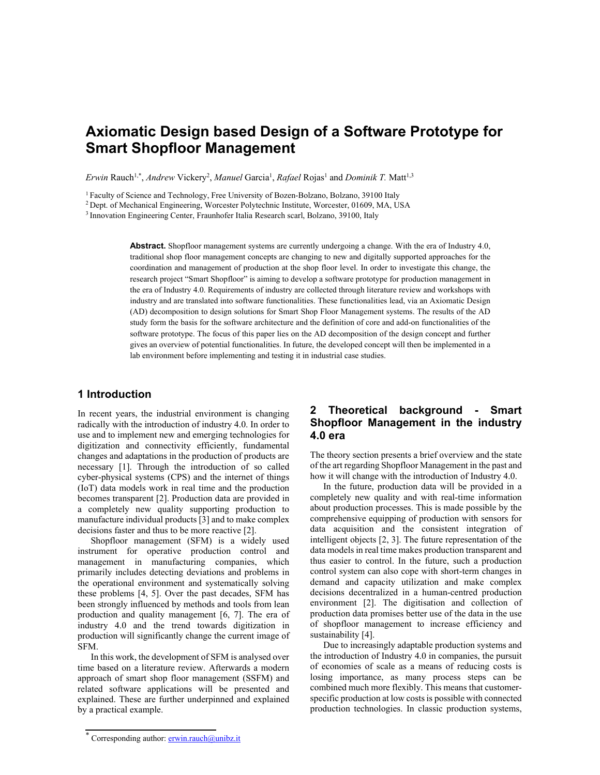# **Axiomatic Design based Design of a Software Prototype for Smart Shopfloor Management**

Erwin Rauch<sup>1,\*</sup>, *Andrew Vickery<sup>2</sup>, Manuel Garcia<sup>1</sup>, Rafael Rojas<sup>1</sup> and <i>Dominik T. Matt*<sup>1,3</sup>

<sup>1</sup> Faculty of Science and Technology, Free University of Bozen-Bolzano, Bolzano, 39100 Italy <sup>2</sup> Dept. of Mechanical Engineering, Worcester Polytechnic Institute, Worcester, 01609, MA, USA <sup>3</sup> Innovation Engineering Cente

**Abstract.** Shopfloor management systems are currently undergoing a change. With the era of Industry 4.0, traditional shop floor management concepts are changing to new and digitally supported approaches for the coordination and management of production at the shop floor level. In order to investigate this change, the research project "Smart Shopfloor" is aiming to develop a software prototype for production management in the era of Industry 4.0. Requirements of industry are collected through literature review and workshops with industry and are translated into software functionalities. These functionalities lead, via an Axiomatic Design (AD) decomposition to design solutions for Smart Shop Floor Management systems. The results of the AD study form the basis for the software architecture and the definition of core and add-on functionalities of the software prototype. The focus of this paper lies on the AD decomposition of the design concept and further gives an overview of potential functionalities. In future, the developed concept will then be implemented in a lab environment before implementing and testing it in industrial case studies.

### **1 Introduction**

In recent years, the industrial environment is changing radically with the introduction of industry 4.0. In order to use and to implement new and emerging technologies for digitization and connectivity efficiently, fundamental changes and adaptations in the production of products are necessary [1]. Through the introduction of so called cyber-physical systems (CPS) and the internet of things (IoT) data models work in real time and the production becomes transparent [2]. Production data are provided in a completely new quality supporting production to manufacture individual products [3] and to make complex decisions faster and thus to be more reactive [2].

Shopfloor management (SFM) is a widely used instrument for operative production control and management in manufacturing companies, which primarily includes detecting deviations and problems in the operational environment and systematically solving these problems [4, 5]. Over the past decades, SFM has been strongly influenced by methods and tools from lean production and quality management [6, 7]. The era of industry 4.0 and the trend towards digitization in production will significantly change the current image of SFM.

In this work, the development of SFM is analysed over time based on a literature review. Afterwards a modern approach of smart shop floor management (SSFM) and related software applications will be presented and explained. These are further underpinned and explained by a practical example.

# **2 Theoretical background - Smart Shopfloor Management in the industry 4.0 era**

The theory section presents a brief overview and the state of the art regarding Shopfloor Management in the past and how it will change with the introduction of Industry 4.0.

In the future, production data will be provided in a completely new quality and with real-time information about production processes. This is made possible by the comprehensive equipping of production with sensors for data acquisition and the consistent integration of intelligent objects [2, 3]. The future representation of the data models in real time makes production transparent and thus easier to control. In the future, such a production control system can also cope with short-term changes in demand and capacity utilization and make complex decisions decentralized in a human-centred production environment [2]. The digitisation and collection of production data promises better use of the data in the use of shopfloor management to increase efficiency and sustainability [4].

Due to increasingly adaptable production systems and the introduction of Industry 4.0 in companies, the pursuit of economies of scale as a means of reducing costs is losing importance, as many process steps can be combined much more flexibly. This means that customerspecific production at low costs is possible with connected production technologies. In classic production systems,

Corresponding author: erwin.rauch@unibz.it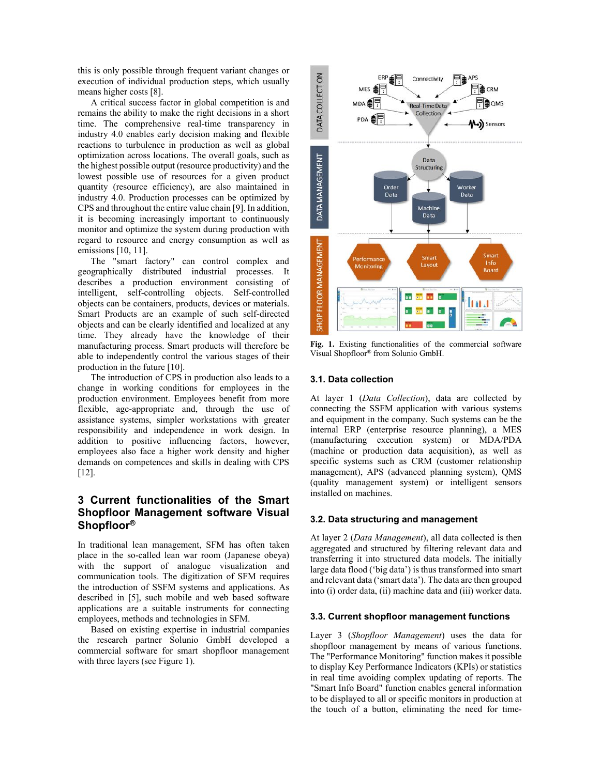this is only possible through frequent variant changes or execution of individual production steps, which usually means higher costs [8].

A critical success factor in global competition is and remains the ability to make the right decisions in a short time. The comprehensive real-time transparency in industry 4.0 enables early decision making and flexible reactions to turbulence in production as well as global optimization across locations. The overall goals, such as the highest possible output (resource productivity) and the lowest possible use of resources for a given product quantity (resource efficiency), are also maintained in industry 4.0. Production processes can be optimized by CPS and throughout the entire value chain [9]. In addition, it is becoming increasingly important to continuously monitor and optimize the system during production with regard to resource and energy consumption as well as emissions [10, 11].

The "smart factory" can control complex and geographically distributed industrial processes. It describes a production environment consisting of intelligent, self-controlling objects. Self-controlled objects can be containers, products, devices or materials. Smart Products are an example of such self-directed objects and can be clearly identified and localized at any time. They already have the knowledge of their manufacturing process. Smart products will therefore be able to independently control the various stages of their production in the future [10].

The introduction of CPS in production also leads to a change in working conditions for employees in the production environment. Employees benefit from more flexible, age-appropriate and, through the use of assistance systems, simpler workstations with greater responsibility and independence in work design. In addition to positive influencing factors, however, employees also face a higher work density and higher demands on competences and skills in dealing with CPS [12].

# **3 Current functionalities of the Smart Shopfloor Management software Visual Shopfloor®**

In traditional lean management, SFM has often taken place in the so-called lean war room (Japanese obeya) with the support of analogue visualization and communication tools. The digitization of SFM requires the introduction of SSFM systems and applications. As described in [5], such mobile and web based software applications are a suitable instruments for connecting employees, methods and technologies in SFM.

Based on existing expertise in industrial companies the research partner Solunio GmbH developed a commercial software for smart shopfloor management with three layers (see Figure 1).



**Fig. 1.** Existing functionalities of the commercial software Visual Shopfloor® from Solunio GmbH.

### **3.1. Data collection**

At layer 1 (*Data Collection*), data are collected by connecting the SSFM application with various systems and equipment in the company. Such systems can be the internal ERP (enterprise resource planning), a MES (manufacturing execution system) or MDA/PDA (machine or production data acquisition), as well as specific systems such as CRM (customer relationship management), APS (advanced planning system), QMS (quality management system) or intelligent sensors installed on machines.

#### **3.2. Data structuring and management**

At layer 2 (*Data Management*), all data collected is then aggregated and structured by filtering relevant data and transferring it into structured data models. The initially large data flood ('big data') is thus transformed into smart and relevant data ('smart data'). The data are then grouped into (i) order data, (ii) machine data and (iii) worker data.

#### **3.3. Current shopfloor management functions**

Layer 3 (*Shopfloor Management*) uses the data for shopfloor management by means of various functions. The "Performance Monitoring" function makes it possible to display Key Performance Indicators (KPIs) or statistics in real time avoiding complex updating of reports. The "Smart Info Board" function enables general information to be displayed to all or specific monitors in production at the touch of a button, eliminating the need for time-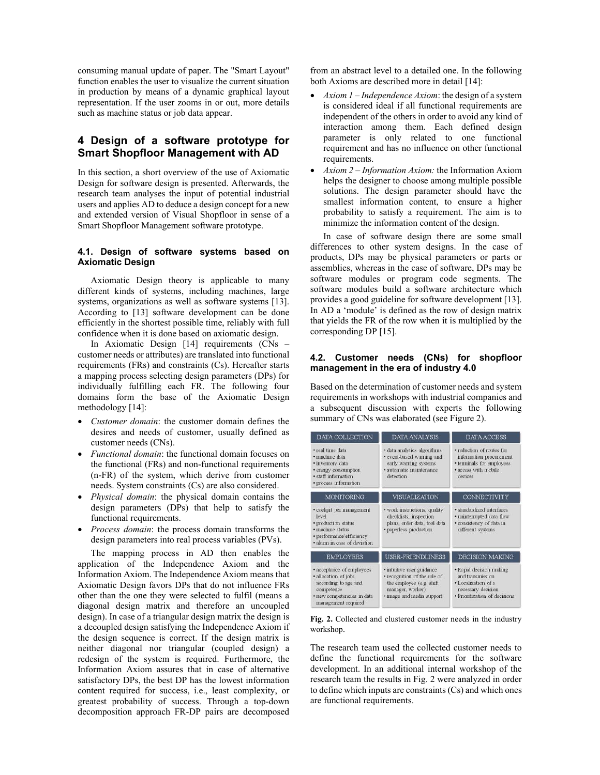consuming manual update of paper. The "Smart Layout" function enables the user to visualize the current situation in production by means of a dynamic graphical layout representation. If the user zooms in or out, more details such as machine status or job data appear.

# **4 Design of a software prototype for Smart Shopfloor Management with AD**

In this section, a short overview of the use of Axiomatic Design for software design is presented. Afterwards, the research team analyses the input of potential industrial users and applies AD to deduce a design concept for a new and extended version of Visual Shopfloor in sense of a Smart Shopfloor Management software prototype.

### **4.1. Design of software systems based on Axiomatic Design**

Axiomatic Design theory is applicable to many different kinds of systems, including machines, large systems, organizations as well as software systems [13]. According to [13] software development can be done efficiently in the shortest possible time, reliably with full confidence when it is done based on axiomatic design.

In Axiomatic Design [14] requirements (CNs – customer needs or attributes) are translated into functional requirements (FRs) and constraints (Cs). Hereafter starts a mapping process selecting design parameters (DPs) for individually fulfilling each FR. The following four domains form the base of the Axiomatic Design methodology [14]:

- *Customer domain*: the customer domain defines the desires and needs of customer, usually defined as customer needs (CNs).
- *Functional domain*: the functional domain focuses on the functional (FRs) and non-functional requirements (n-FR) of the system, which derive from customer needs. System constraints (Cs) are also considered.
- x *Physical domain*: the physical domain contains the design parameters (DPs) that help to satisfy the functional requirements.
- *Process domain*: the process domain transforms the design parameters into real process variables (PVs).

The mapping process in AD then enables the application of the Independence Axiom and the Information Axiom. The Independence Axiom means that Axiomatic Design favors DPs that do not influence FRs other than the one they were selected to fulfil (means a diagonal design matrix and therefore an uncoupled design). In case of a triangular design matrix the design is a decoupled design satisfying the Independence Axiom if the design sequence is correct. If the design matrix is neither diagonal nor triangular (coupled design) a redesign of the system is required. Furthermore, the Information Axiom assures that in case of alternative satisfactory DPs, the best DP has the lowest information content required for success, i.e., least complexity, or greatest probability of success. Through a top-down decomposition approach FR-DP pairs are decomposed

from an abstract level to a detailed one. In the following both Axioms are described more in detail [14]:

- x *Axiom 1 Independence Axiom*: the design of a system is considered ideal if all functional requirements are independent of the others in order to avoid any kind of interaction among them. Each defined design parameter is only related to one functional requirement and has no influence on other functional requirements.
- x *Axiom 2 Information Axiom:* the Information Axiom helps the designer to choose among multiple possible solutions. The design parameter should have the smallest information content, to ensure a higher probability to satisfy a requirement. The aim is to minimize the information content of the design.

In case of software design there are some small differences to other system designs. In the case of products, DPs may be physical parameters or parts or assemblies, whereas in the case of software, DPs may be software modules or program code segments. The software modules build a software architecture which provides a good guideline for software development [13]. In AD a 'module' is defined as the row of design matrix that yields the FR of the row when it is multiplied by the corresponding DP [15].

#### **4.2. Customer needs (CNs) for shopfloor management in the era of industry 4.0**

Based on the determination of customer needs and system requirements in workshops with industrial companies and a subsequent discussion with experts the following summary of CNs was elaborated (see Figure 2).

| DATA COLLECTION                                                                                                                              | DATA ANALYSIS                                                                                                                           | <b>DATA ACCESS</b>                                                                                                        |
|----------------------------------------------------------------------------------------------------------------------------------------------|-----------------------------------------------------------------------------------------------------------------------------------------|---------------------------------------------------------------------------------------------------------------------------|
| • real time data<br>· machine data<br>· inventory data<br>· energy consumption<br>· staff information<br>· process information               | · data analytics algorithms<br>• event-based warning and<br>early warning systems<br>· automatic maintenance<br>detection               | • reduction of routes for<br>information procurement<br>· terminals for employees<br>· access with mobile<br>devices      |
| <b>MONITORING</b>                                                                                                                            | VISUALIZATION                                                                                                                           | CONNECTIVITY                                                                                                              |
| • cockpit per management<br>level<br>· production status<br>· machine status<br>· performance/efficiency<br>· alarm in case of deviation     | · work instructions, quality<br>checklists, inspection<br>plans, order data, tool data<br>· paperless production                        | · standardized interfaces<br>· uninterrupted data flow<br>· consistency of data in<br>different systems                   |
| <b>EMPLOYEES</b>                                                                                                                             | USER-FRIENDLINESS                                                                                                                       | <b>DECISION MAKING</b>                                                                                                    |
| · acceptance of employees<br>· allocation of jobs<br>according to age and<br>competence<br>· new competencies in data<br>management required | · intuitive user guidance<br>• recognition of the role of<br>the employee (e.g. shift)<br>manager, worker)<br>· image and media support | · Rapid decision making<br>and transmission<br>· Localization of a<br>necessary decision<br>· Prioritization of decisions |

**Fig. 2.** Collected and clustered customer needs in the industry workshop.

The research team used the collected customer needs to define the functional requirements for the software development. In an additional internal workshop of the research team the results in Fig. 2 were analyzed in order to define which inputs are constraints (Cs) and which ones are functional requirements.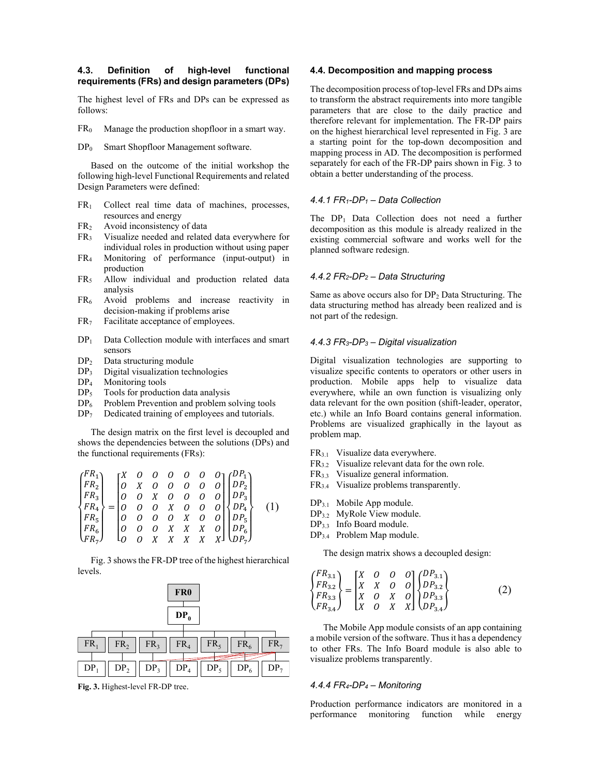### **4.3. Definition of high-level functional requirements (FRs) and design parameters (DPs)**

The highest level of FRs and DPs can be expressed as follows:

- $FR<sub>0</sub>$  Manage the production shopfloor in a smart way.
- DP<sub>0</sub> Smart Shopfloor Management software.

Based on the outcome of the initial workshop the following high-level Functional Requirements and related Design Parameters were defined:

- FR<sub>1</sub> Collect real time data of machines, processes, resources and energy
- FR2 Avoid inconsistency of data
- FR3 Visualize needed and related data everywhere for individual roles in production without using paper
- FR4 Monitoring of performance (input-output) in production
- FR5 Allow individual and production related data analysis
- FR6 Avoid problems and increase reactivity in decision-making if problems arise
- FR7 Facilitate acceptance of employees.
- DP<sub>1</sub> Data Collection module with interfaces and smart sensors
- DP2 Data structuring module
- DP3 Digital visualization technologies
- DP4 Monitoring tools
- $DP<sub>5</sub>$  Tools for production data analysis
- $DP<sub>6</sub>$  Problem Prevention and problem solving tools
- $DP<sub>7</sub>$  Dedicated training of employees and tutorials.

The design matrix on the first level is decoupled and shows the dependencies between the solutions (DPs) and the functional requirements (FRs):

| $\begin{pmatrix} FR_1 \\ FR_2 \\ FR_3 \\ FR_4 \\ FR_5 \\ FR_6 \\ FR_6 \end{pmatrix} = \begin{bmatrix} X & 0 & 0 & 0 & 0 & 0 & 0 \\ 0 & X & 0 & 0 & 0 & 0 & 0 \\ 0 & 0 & X & 0 & 0 & 0 & 0 \\ 0 & 0 & 0 & X & 0 & 0 & 0 \\ 0 & 0 & 0 & X & 0 & 0 & 0 \\ 0 & 0 & 0 & X & X & X & 0 \\ 0 & 0 & 0 & X & X & X & X \\ 0 & 0 & X & X & X & X & X \end{bmatrix} \begin{bmatrix} DP_1 \\ DP_2 \\ DP_3 \\$ |  |  |  |  |  |
|---------------------------------------------------------------------------------------------------------------------------------------------------------------------------------------------------------------------------------------------------------------------------------------------------------------------------------------------------------------------------------------------------|--|--|--|--|--|

Fig. 3 shows the FR-DP tree of the highest hierarchical levels.



**Fig. 3.** Highest-level FR-DP tree.

### **4.4. Decomposition and mapping process**

The decomposition process of top-level FRs and DPs aims to transform the abstract requirements into more tangible parameters that are close to the daily practice and therefore relevant for implementation. The FR-DP pairs on the highest hierarchical level represented in Fig. 3 are a starting point for the top-down decomposition and mapping process in AD. The decomposition is performed separately for each of the FR-DP pairs shown in Fig. 3 to obtain a better understanding of the process.

### *4.4.1 FR1-DP1 – Data Collection*

The  $DP_1$  Data Collection does not need a further decomposition as this module is already realized in the existing commercial software and works well for the planned software redesign.

#### *4.4.2 FR2-DP2 – Data Structuring*

Same as above occurs also for  $DP<sub>2</sub>$  Data Structuring. The data structuring method has already been realized and is not part of the redesign.

#### *4.4.3 FR3-DP3 – Digital visualization*

Digital visualization technologies are supporting to visualize specific contents to operators or other users in production. Mobile apps help to visualize data everywhere, while an own function is visualizing only data relevant for the own position (shift-leader, operator, etc.) while an Info Board contains general information. Problems are visualized graphically in the layout as problem map.

- FR3.1 Visualize data everywhere.
- FR3.2 Visualize relevant data for the own role.
- FR3.3 Visualize general information.
- FR3.4 Visualize problems transparently.
- DP3.1 Mobile App module.
- DP<sub>3.2</sub> MyRole View module.
- $DP_{33}$  Info Board module.
- DP3.4 Problem Map module.

The design matrix shows a decoupled design:

$$
\begin{Bmatrix}\nFR_{3.1} \\
FR_{3.2} \\
FR_{3.3} \\
FR_{3.4}\n\end{Bmatrix} =\n\begin{bmatrix}\nX & 0 & 0 & 0 \\
X & X & 0 & 0 \\
X & 0 & X & 0 \\
X & 0 & X & X\n\end{bmatrix}\n\begin{Bmatrix}\nDP_{3.1} \\
DP_{3.2} \\
DP_{3.2} \\
DP_{3.3} \\
DP_{3.4}\n\end{Bmatrix} \tag{2}
$$

The Mobile App module consists of an app containing a mobile version of the software. Thus it has a dependency to other FRs. The Info Board module is also able to visualize problems transparently.

#### *4.4.4 FR4-DP4 – Monitoring*

Production performance indicators are monitored in a performance monitoring function while energy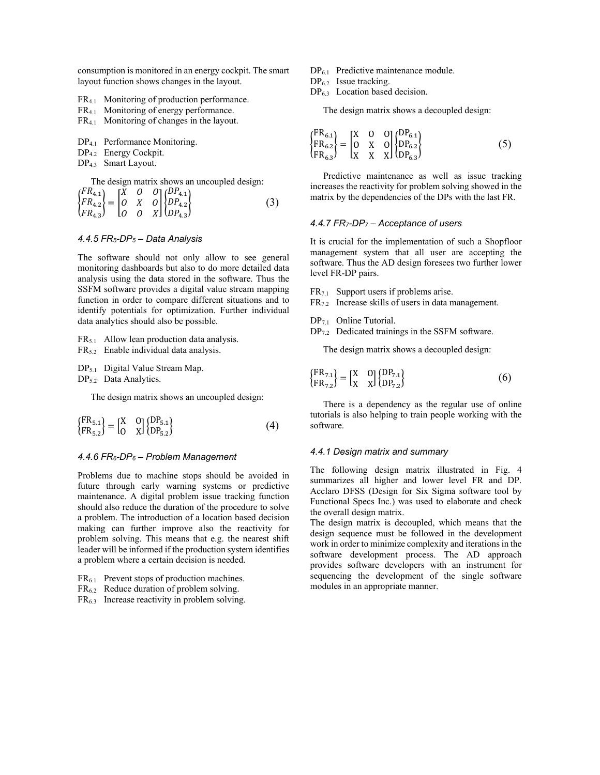consumption is monitored in an energy cockpit. The smart layout function shows changes in the layout.

- FR4.1 Monitoring of production performance.
- FR4.1 Monitoring of energy performance.
- FR4.1 Monitoring of changes in the layout.
- DP<sub>41</sub> Performance Monitoring.
- $DP<sub>4</sub>$ , Energy Cockpit.
- DP4.3 Smart Layout.

The design matrix shows an uncoupled design:

$$
\begin{Bmatrix} FR_{4.1} \\ FR_{4.2} \\ FR_{4.3} \end{Bmatrix} = \begin{bmatrix} X & 0 & 0 \\ 0 & X & 0 \\ 0 & 0 & X \end{bmatrix} \begin{Bmatrix} DP_{4.1} \\ DP_{4.2} \\ DP_{4.3} \end{Bmatrix}
$$
 (3)

### *4.4.5 FR5-DP5 – Data Analysis*

The software should not only allow to see general monitoring dashboards but also to do more detailed data analysis using the data stored in the software. Thus the SSFM software provides a digital value stream mapping function in order to compare different situations and to identify potentials for optimization. Further individual data analytics should also be possible.

- $FR<sub>5.1</sub>$  Allow lean production data analysis.
- FR5.2 Enable individual data analysis.
- DP5.1 Digital Value Stream Map.
- DP<sub>5.2</sub> Data Analytics.

The design matrix shows an uncoupled design:

$$
\begin{Bmatrix} \n\text{FR}_{5.1} \\ \n\text{FR}_{5.2} \n\end{Bmatrix} = \begin{bmatrix} X & 0 \\ 0 & X \n\end{bmatrix} \begin{Bmatrix} \text{DP}_{5.1} \\ \text{DP}_{5.2} \n\end{Bmatrix} \tag{4}
$$

#### *4.4.6 FR6-DP6 – Problem Management*

Problems due to machine stops should be avoided in future through early warning systems or predictive maintenance. A digital problem issue tracking function should also reduce the duration of the procedure to solve a problem. The introduction of a location based decision making can further improve also the reactivity for problem solving. This means that e.g. the nearest shift leader will be informed if the production system identifies a problem where a certain decision is needed.

- $FR<sub>6.1</sub>$  Prevent stops of production machines.
- $FR<sub>6</sub>$ , Reduce duration of problem solving.
- $FR<sub>6.3</sub>$  Increase reactivity in problem solving.
- $DP<sub>6.1</sub>$  Predictive maintenance module.
- DP6.2 Issue tracking. DP6.3 Location based decision.
- 

The design matrix shows a decoupled design:

$$
\begin{Bmatrix} FR_{6.1} \\ FR_{6.2} \\ FR_{6.3} \end{Bmatrix} = \begin{bmatrix} X & 0 & 0 \\ 0 & X & 0 \\ X & X & X \end{bmatrix} \begin{Bmatrix} DP_{6.1} \\ DP_{6.2} \\ DP_{6.3} \end{Bmatrix}
$$
 (5)

Predictive maintenance as well as issue tracking increases the reactivity for problem solving showed in the matrix by the dependencies of the DPs with the last FR.

### *4.4.7 FR7-DP7 – Acceptance of users*

It is crucial for the implementation of such a Shopfloor management system that all user are accepting the software. Thus the AD design foresees two further lower level FR-DP pairs.

- $FR<sub>7.1</sub>$  Support users if problems arise.
- $FR<sub>7.2</sub>$  Increase skills of users in data management.
- DP<sub>7.1</sub> Online Tutorial.

DP<sub>7.2</sub> Dedicated trainings in the SSFM software.

The design matrix shows a decoupled design:

$$
{\begin{Bmatrix} FR_{7.1} \ Fr{R}_{7.2} \end{Bmatrix}} = {\begin{bmatrix} X & 0 \\ X & X \end{bmatrix}} {\begin{Bmatrix} DP_{7.1} \\ DP_{7.2} \end{Bmatrix}}
$$
 (6)

There is a dependency as the regular use of online tutorials is also helping to train people working with the software.

#### *4.4.1 Design matrix and summary*

The following design matrix illustrated in Fig. 4 summarizes all higher and lower level FR and DP. Acclaro DFSS (Design for Six Sigma software tool by Functional Specs Inc.) was used to elaborate and check the overall design matrix.

The design matrix is decoupled, which means that the design sequence must be followed in the development work in order to minimize complexity and iterations in the software development process. The AD approach provides software developers with an instrument for sequencing the development of the single software modules in an appropriate manner.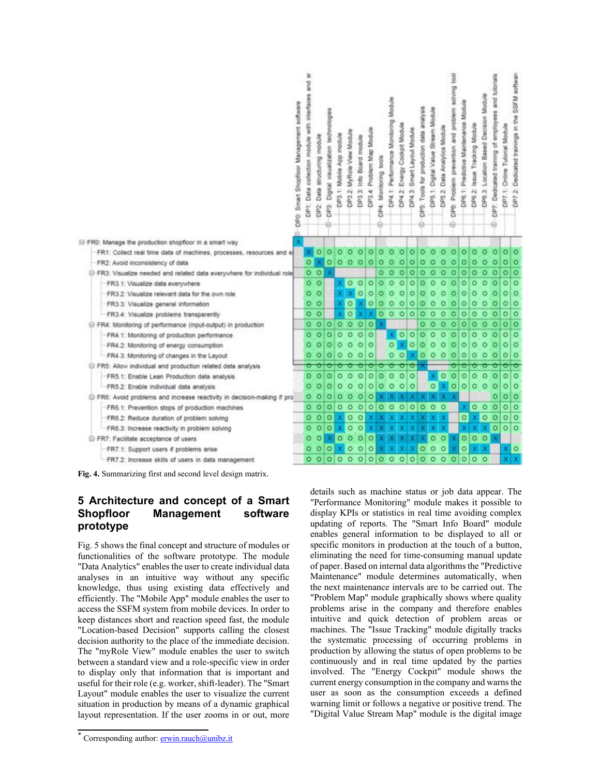|                                                                                                         | and ar<br>module with interfaces<br>Smart Shopfloor Management software<br>collection<br>Data<br>DP1:<br>DP0: | module<br>structuring<br>Data<br>DP2 | Digital visualization technologies<br>DP3:<br>ė | DP3.1: Mobile App modu | 2: MyRole View Module<br>DP3 | Info Board module<br>in,<br>DP <sub>3</sub> | Problem Map Module<br>ŵ<br>DP3. | <b>SOOS</b><br>DP4: Monitoring | Performance Monitoring Module<br>DP4.1: | Energy Cockpit Modul<br>DP4.2: | Smart Layout Module<br>DP4.3: | Tools for production data analysis<br>ğ<br>Θ | DP5.1: Digital Value Stream Module | Data Analytics Module<br>DP5.2 | solving tool<br>problem<br>DPS: Problem prevention and<br>ė | Module<br>DP6.1: Predictive Maintenance | Tracking Module<br><b>ISSU0</b><br>DP6.2 | Decision Module<br>Location Based<br>ö<br>DP6 | DP7: Dedicated training of employees and tutorials<br>e | <b>Tutorial Module</b><br>Online<br>μ<br>DPT. | Dedicated trainings in the SSFM software<br>DP7 2: |
|---------------------------------------------------------------------------------------------------------|---------------------------------------------------------------------------------------------------------------|--------------------------------------|-------------------------------------------------|------------------------|------------------------------|---------------------------------------------|---------------------------------|--------------------------------|-----------------------------------------|--------------------------------|-------------------------------|----------------------------------------------|------------------------------------|--------------------------------|-------------------------------------------------------------|-----------------------------------------|------------------------------------------|-----------------------------------------------|---------------------------------------------------------|-----------------------------------------------|----------------------------------------------------|
| E FR0: Manage the production shopfloor in a smart way                                                   |                                                                                                               | $\circ$                              | ٥                                               | $\circ$                | ۰                            | ٥                                           | $\circ$                         | ٥                              | ۰                                       | ٥                              | $\circ$                       | ۰                                            | ٥                                  | ٥                              | ۰                                                           | $\circ$                                 | $\circ$                                  | ٥                                             | $\circ$                                                 | ٥                                             | $\circ$                                            |
| FR1: Collect real time data of machines, processes, resources and e<br>FR2: Avoid inconsistency of data | ۰                                                                                                             | x                                    | $\circ$                                         | $\circ$                | $\circ$                      | ۰                                           | ۰                               | $\circ$                        | $\circ$                                 | ۰                              | ۰                             | ۰                                            | ٥                                  | ٥                              | ۰                                                           | $\circ$                                 | o                                        | ٥                                             | ۰                                                       | ۰                                             | $\circ$                                            |
| El FR3: Visualize needed and related data everywhere for individual role                                | $\circ$                                                                                                       | $\circ$                              |                                                 |                        |                              |                                             |                                 | ٥                              | $\circ$                                 | ٥                              | $\circ$                       | ۰                                            | ٥                                  | ۰                              | o                                                           | $\circ$                                 | $\circ$                                  | ٥                                             | $\circ$                                                 | ۰                                             | o                                                  |
| FR3.1: Visualize data everywhere                                                                        | ۰                                                                                                             | ٥                                    |                                                 |                        | ٥                            | ō                                           | ۰                               | o                              | ö                                       | ۰                              | ٥                             | ۰                                            | ٥                                  | ٥                              | ٥                                                           | ۰                                       | ۰                                        | ٥                                             | $\circ$                                                 | ö                                             | $\circ$                                            |
| FR3.2: Visualize relevant data for the own role                                                         | ۰                                                                                                             | $\circ$                              |                                                 |                        |                              | o                                           | $\circ$                         | o                              | $\circ$                                 | ۰                              | ۰                             | ۰                                            | o                                  | ۰                              | ۰                                                           | $\circ$                                 | ۰                                        | ٥                                             | ۰                                                       | ō                                             | $\circ$                                            |
| FR3.3: Visualize general information                                                                    | o                                                                                                             | ۰                                    |                                                 |                        | Ō                            |                                             | Ō                               | ō                              | ۰                                       | o                              | ۰                             | o                                            | ۰                                  | ۰                              | ۰                                                           | o                                       | ۰                                        | ۰                                             | ۰                                                       | ۰                                             | $\circ$                                            |
| FR3.4: Visualize problems transparently                                                                 | ۰                                                                                                             | $\circ$                              |                                                 |                        |                              |                                             |                                 | ۰                              | ۰                                       | Ō                              | ۰                             | ۰                                            | о                                  | о                              | о                                                           | Ō                                       | o                                        | Ō                                             | o                                                       | Ö                                             | $\circ$                                            |
| E FR4: Monitoring of performance (input-output) in production                                           | ۰                                                                                                             | ō                                    | ٥                                               | ۰                      | ۰                            | Ō                                           | ō                               |                                |                                         |                                |                               | o                                            | о                                  | o                              | о                                                           | o                                       | o                                        |                                               | o                                                       | ö                                             | ۱o                                                 |
| FR4.1: Monitoring of production performance                                                             | ۰                                                                                                             | ٥                                    |                                                 | Ō                      | ٥                            | Ō                                           | Ò                               |                                |                                         | ō                              | Ō                             | ó                                            |                                    |                                |                                                             | o                                       | o                                        |                                               | ٥                                                       | $\circ$                                       | ۱o                                                 |
| FR4.2: Monitoring of energy consumption                                                                 | ٥                                                                                                             | ٥                                    | Ö                                               | $\circ$                | o                            | o                                           | o                               |                                | o                                       |                                | ö                             | ٥                                            | ٥                                  | n                              | o                                                           | $\circ$                                 | ٥                                        | o                                             | $\circ$                                                 | ö                                             | $\circ$                                            |
| FR4.3: Monitoring of changes in the Layout                                                              | ٥                                                                                                             | ٥                                    | $\circ$                                         | $\circ$                | $\circ$                      | $\circ$                                     | $\circ$                         |                                | ٥                                       | ō                              |                               | ۰                                            | ٥                                  | ۰                              | ۰                                                           | $\circ$                                 | $\circ$                                  | $\circ$                                       | $\circ$                                                 | ۰                                             | ۱o                                                 |
| E FR5: Allow individual and production related data analysis                                            |                                                                                                               | Ξ                                    |                                                 |                        | œ                            | ۰                                           | σ                               | Θ                              |                                         | Ξ                              | Ξ                             |                                              |                                    |                                | э                                                           | σ                                       | ×                                        |                                               | ο                                                       |                                               | ю                                                  |
| FR5.1: Enable Lean Production data analysis                                                             | ۰                                                                                                             | Ō                                    | $\circ$                                         | $\circ$                | ö                            | o                                           | ō                               | ö                              | o                                       | ٥                              | Ō                             |                                              |                                    | Ò                              | ō                                                           | $\circ$                                 | ō                                        | Ō                                             | ۰                                                       | $\circ$                                       | $\circ$                                            |
| FR5.2: Enable individual data analysis                                                                  | $\circ$                                                                                                       | ō                                    | $\circ$                                         | $\circ$                | ō                            | o                                           | o                               | $\circ$                        | $\circ$                                 | Ō                              | o                             |                                              | ö                                  |                                | $\circ$                                                     | $\circ$                                 | $\circ$                                  | $\circ$                                       | $\circ$                                                 | ō                                             | ۱o                                                 |
| El FR6: Avoid problems and increase reactivity in decision-making if pro                                | $\circ$                                                                                                       | ö                                    | ō                                               | $\circ$                | o                            | ٥                                           | ٥                               |                                |                                         |                                |                               |                                              |                                    |                                |                                                             |                                         |                                          |                                               | $\circ$                                                 | ٥                                             | ۱o                                                 |
| FR6.1: Prevention stops of production machines                                                          | $\circ$                                                                                                       | Ò                                    | ۰                                               | $\circ$                | Ó                            | Ó                                           | ٥                               | $\circ$                        | $\circ$                                 | $\circ$                        | ۰                             | $\circ$                                      | $\circ$                            | $\circ$                        |                                                             | x                                       | ō                                        | $\circ$                                       | $\circ$                                                 | ö                                             | ۱o                                                 |
| FR6.2: Reduce duration of problem solving                                                               | ۰                                                                                                             | ٥                                    | ٥                                               | x                      | ٥                            | ٥                                           |                                 |                                |                                         |                                |                               |                                              |                                    |                                |                                                             | ō                                       | x                                        | $\circ$                                       | $\circ$                                                 | $\circ$                                       | ۱o                                                 |
| FR6.3: Increase reactivity in problem solving                                                           | ۰                                                                                                             | ō                                    | ō                                               | x                      | Ö                            | ō                                           |                                 |                                |                                         |                                |                               |                                              |                                    |                                |                                                             |                                         |                                          |                                               | $\circ$                                                 | $\circ$                                       | ۱o                                                 |
| E-FR7: Facilitate acceptance of users                                                                   | $\circ$                                                                                                       | ٥                                    | x                                               | $\circ$                | $\circ$                      | ۰                                           | o                               |                                |                                         |                                |                               |                                              | ٥                                  | $\circ$                        | ×                                                           | $\circ$                                 | $\circ$                                  | $\circ$                                       |                                                         |                                               |                                                    |
| FR7.1: Support users if problems arise                                                                  | ۰                                                                                                             | o                                    | $\circ$                                         |                        | o                            | ٥                                           | ۰                               |                                |                                         |                                |                               | $\circ$                                      | $\circ$                            | ٥                              |                                                             | ٥                                       | x                                        |                                               |                                                         |                                               | $\circ$                                            |
| FR7.2: Increase skills of users in data management                                                      | $\circ$                                                                                                       | o                                    | o                                               | $\circ$                | $\circ$                      | $\circ$                                     | $\circ$                         | $\circ$                        | $\circ$                                 | ۰                              | $\circ$                       | $\circ$                                      | $\circ$                            | $\circ$                        | $\circ$                                                     | $\circ$                                 | $\circ$                                  | $\circ$                                       |                                                         | x                                             | ١x                                                 |

**Fig. 4.** Summarizing first and second level design matrix.

# **5 Architecture and concept of a Smart Shopfloor Management software prototype**

Fig. 5 shows the final concept and structure of modules or functionalities of the software prototype. The module "Data Analytics" enables the user to create individual data analyses in an intuitive way without any specific knowledge, thus using existing data effectively and efficiently. The "Mobile App" module enables the user to access the SSFM system from mobile devices. In order to keep distances short and reaction speed fast, the module "Location-based Decision" supports calling the closest decision authority to the place of the immediate decision. The "myRole View" module enables the user to switch between a standard view and a role-specific view in order to display only that information that is important and useful for their role (e.g. worker, shift-leader). The "Smart Layout" module enables the user to visualize the current situation in production by means of a dynamic graphical layout representation. If the user zooms in or out, more

Corresponding author:  $erwin.random@unibz.it$ 

details such as machine status or job data appear. The "Performance Monitoring" module makes it possible to display KPIs or statistics in real time avoiding complex updating of reports. The "Smart Info Board" module enables general information to be displayed to all or specific monitors in production at the touch of a button, eliminating the need for time-consuming manual update of paper. Based on internal data algorithms the "Predictive Maintenance" module determines automatically, when the next maintenance intervals are to be carried out. The "Problem Map" module graphically shows where quality problems arise in the company and therefore enables intuitive and quick detection of problem areas or machines. The "Issue Tracking" module digitally tracks the systematic processing of occurring problems in production by allowing the status of open problems to be continuously and in real time updated by the parties involved. The "Energy Cockpit" module shows the current energy consumption in the company and warns the user as soon as the consumption exceeds a defined warning limit or follows a negative or positive trend. The "Digital Value Stream Map" module is the digital image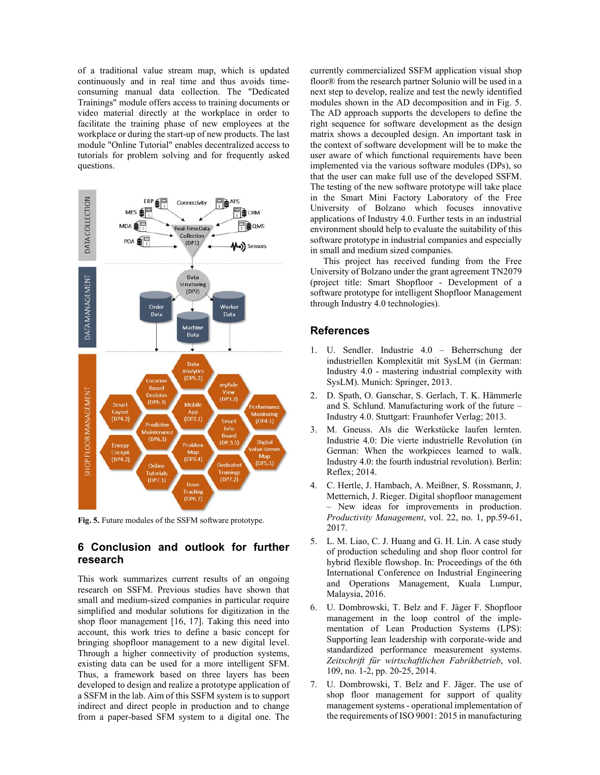of a traditional value stream map, which is updated continuously and in real time and thus avoids timeconsuming manual data collection. The "Dedicated Trainings" module offers access to training documents or video material directly at the workplace in order to facilitate the training phase of new employees at the workplace or during the start-up of new products. The last module "Online Tutorial" enables decentralized access to tutorials for problem solving and for frequently asked questions.



**Fig. 5.** Future modules of the SSFM software prototype.

# **6 Conclusion and outlook for further research**

This work summarizes current results of an ongoing research on SSFM. Previous studies have shown that small and medium-sized companies in particular require simplified and modular solutions for digitization in the shop floor management [16, 17]. Taking this need into account, this work tries to define a basic concept for bringing shopfloor management to a new digital level. Through a higher connectivity of production systems, existing data can be used for a more intelligent SFM. Thus, a framework based on three layers has been developed to design and realize a prototype application of a SSFM in the lab. Aim of this SSFM system is to support indirect and direct people in production and to change from a paper-based SFM system to a digital one. The

currently commercialized SSFM application visual shop floor® from the research partner Solunio will be used in a next step to develop, realize and test the newly identified modules shown in the AD decomposition and in Fig. 5. The AD approach supports the developers to define the right sequence for software development as the design matrix shows a decoupled design. An important task in the context of software development will be to make the user aware of which functional requirements have been implemented via the various software modules (DPs), so that the user can make full use of the developed SSFM. The testing of the new software prototype will take place in the Smart Mini Factory Laboratory of the Free University of Bolzano which focuses innovative applications of Industry 4.0. Further tests in an industrial environment should help to evaluate the suitability of this software prototype in industrial companies and especially in small and medium sized companies.

This project has received funding from the Free University of Bolzano under the grant agreement TN2079 (project title: Smart Shopfloor - Development of a software prototype for intelligent Shopfloor Management through Industry 4.0 technologies).

# **References**

- 1. U. Sendler. Industrie 4.0 Beherrschung der industriellen Komplexität mit SysLM (in German: Industry 4.0 - mastering industrial complexity with SysLM). Munich: Springer, 2013.
- 2. D. Spath, O. Ganschar, S. Gerlach, T. K. Hämmerle and S. Schlund. Manufacturing work of the future – Industry 4.0. Stuttgart: Fraunhofer Verlag; 2013.
- 3. M. Gneuss. Als die Werkstücke laufen lernten. Industrie 4.0: Die vierte industrielle Revolution (in German: When the workpieces learned to walk. Industry 4.0: the fourth industrial revolution). Berlin: Reflex; 2014.
- 4. C. Hertle, J. Hambach, A. Meißner, S. Rossmann, J. Metternich, J. Rieger. Digital shopfloor management – New ideas for improvements in production. *Productivity Management*, vol. 22, no. 1, pp.59-61, 2017.
- 5. L. M. Liao, C. J. Huang and G. H. Lin. A case study of production scheduling and shop floor control for hybrid flexible flowshop. In: Proceedings of the 6th International Conference on Industrial Engineering and Operations Management, Kuala Lumpur, Malaysia, 2016.
- 6. U. Dombrowski, T. Belz and F. Jäger F. Shopfloor management in the loop control of the implementation of Lean Production Systems (LPS): Supporting lean leadership with corporate-wide and standardized performance measurement systems. *Zeitschrift für wirtschaftlichen Fabrikbetrieb*, vol. 109, no. 1-2, pp. 20-25, 2014.
- 7. U. Dombrowski, T. Belz and F. Jäger. The use of shop floor management for support of quality management systems - operational implementation of the requirements of ISO 9001: 2015 in manufacturing